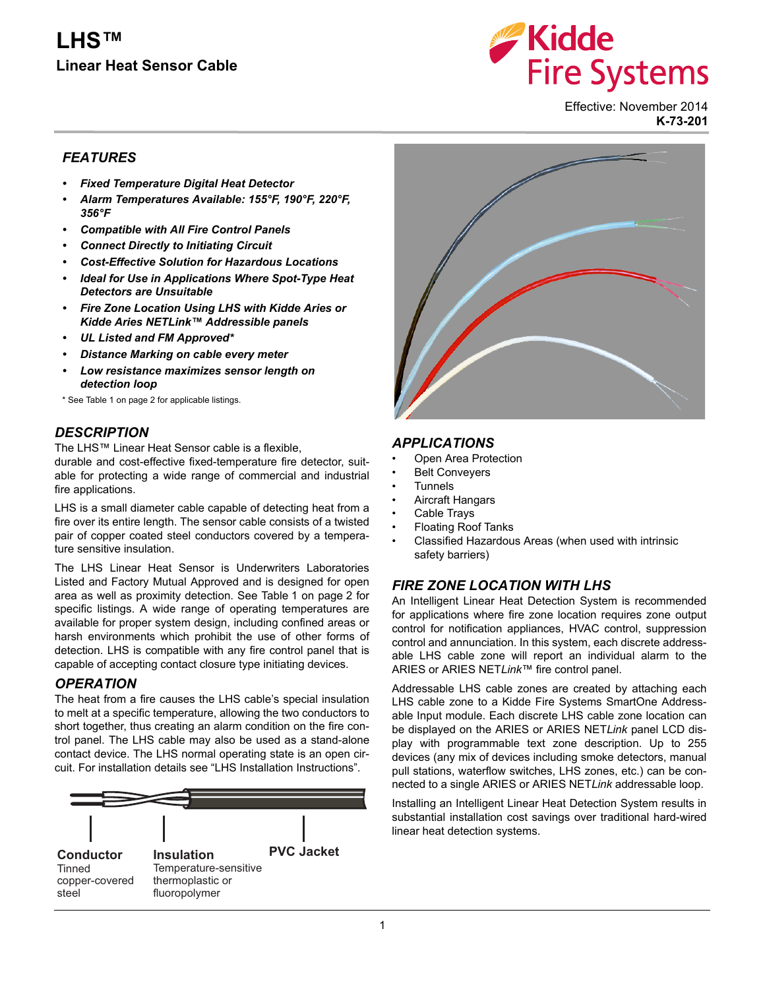# **HS™ Linear Heat Sensor Cable**



Effective: November 2014 **K-73-201**

#### *FEATURES*

- *Fixed Temperature Digital Heat Detector*
- *Alarm Temperatures Available: 155°F, 190°F, 220°F, 356°F*
- *Compatible with All Fire Control Panels*
- *Connect Directly to Initiating Circuit*
- *Cost-Effective Solution for Hazardous Locations*
- *Ideal for Use in Applications Where Spot-Type Heat Detectors are Unsuitable*
- *Fire Zone Location Using LHS with Kidde Aries or Kidde Aries NETLink™ Addressible panels*
- *UL Listed and FM Approved\**
- *Distance Marking on cable every meter*
- *Low resistance maximizes sensor length on detection loop*

\* See [Table 1 on page 2](#page-1-0) for applicable listings.

### *DESCRIPTION*

The LHS™ Linear Heat Sensor cable is a flexible, durable and cost-effective fixed-temperature fire detector, suitable for protecting a wide range of commercial and industrial fire applications.

LHS is a small diameter cable capable of detecting heat from a fire over its entire length. The sensor cable consists of a twisted pair of copper coated steel conductors covered by a temperature sensitive insulation.

The LHS Linear Heat Sensor is Underwriters Laboratories Listed and Factory Mutual Approved and is designed for open area as well as proximity detection. See [Table 1 on page 2](#page-1-0) for specific listings. A wide range of operating temperatures are available for proper system design, including confined areas or harsh environments which prohibit the use of other forms of detection. LHS is compatible with any fire control panel that is capable of accepting contact closure type initiating devices.

### *OPERATION*

The heat from a fire causes the LHS cable's special insulation to melt at a specific temperature, allowing the two conductors to short together, thus creating an alarm condition on the fire control panel. The LHS cable may also be used as a stand-alone contact device. The LHS normal operating state is an open circuit. For installation details see "LHS Installation Instructions".





### *APPLICATIONS*

- Open Area Protection
- **Belt Conveyers**
- **Tunnels**
- Aircraft Hangars
- Cable Trays
- Floating Roof Tanks
- Classified Hazardous Areas (when used with intrinsic safety barriers)

# *FIRE ZONE LOCATION WITH LHS*

An Intelligent Linear Heat Detection System is recommended for applications where fire zone location requires zone output control for notification appliances, HVAC control, suppression control and annunciation. In this system, each discrete addressable LHS cable zone will report an individual alarm to the ARIES or ARIES NET*Link*™ fire control panel.

Addressable LHS cable zones are created by attaching each LHS cable zone to a Kidde Fire Systems SmartOne Addressable Input module. Each discrete LHS cable zone location can be displayed on the ARIES or ARIES NET*Link* panel LCD display with programmable text zone description. Up to 255 devices (any mix of devices including smoke detectors, manual pull stations, waterflow switches, LHS zones, etc.) can be connected to a single ARIES or ARIES NET*Link* addressable loop.

Installing an Intelligent Linear Heat Detection System results in substantial installation cost savings over traditional hard-wired linear heat detection systems.